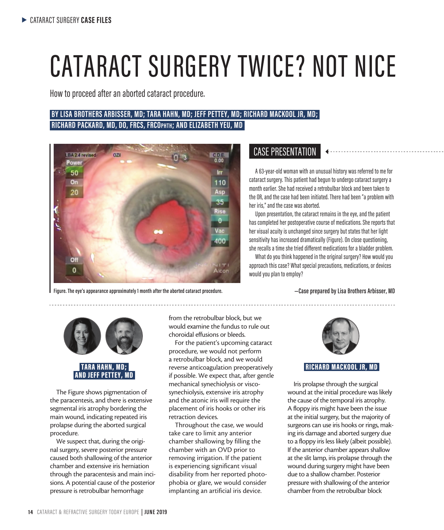# CATARACT SURGERY TWICE? NOT NICE

How to proceed after an aborted cataract procedure.

# **BY LISA BROTHERS ARBISSER, MD; TARA HAHN, MD; JEFF PETTEY, MD; RICHARD MACKOOL JR, MD; RICHARD PACKARD, MD, DO, FRCS, FRCOphth; AND ELIZABETH YEU, MD**



**Figure. The eye's appearance approximately 1 month after the aborted cataract procedure. —Case prepared by Lisa Brothers Arbisser, MD**

# CASE PRESENTATION

A 63-year-old woman with an unusual history was referred to me for cataract surgery. This patient had begun to undergo cataract surgery a month earlier. She had received a retrobulbar block and been taken to the OR, and the case had been initiated. There had been "a problem with her iris," and the case was aborted.

Upon presentation, the cataract remains in the eye, and the patient has completed her postoperative course of medications. She reports that her visual acuity is unchanged since surgery but states that her light sensitivity has increased dramatically (Figure). On close questioning, she recalls a time she tried different medications for a bladder problem.

What do you think happened in the original surgery? How would you approach this case? What special precautions, medications, or devices would you plan to employ?



The Figure shows pigmentation of the paracentesis, and there is extensive segmental iris atrophy bordering the main wound, indicating repeated iris prolapse during the aborted surgical procedure.

We suspect that, during the original surgery, severe posterior pressure caused both shallowing of the anterior chamber and extensive iris herniation through the paracentesis and main incisions. A potential cause of the posterior pressure is retrobulbar hemorrhage

from the retrobulbar block, but we would examine the fundus to rule out choroidal effusions or bleeds.

For the patient's upcoming cataract procedure, we would not perform a retrobulbar block, and we would reverse anticoagulation preoperatively if possible. We expect that, after gentle mechanical synechiolysis or viscosynechiolysis, extensive iris atrophy and the atonic iris will require the placement of iris hooks or other iris retraction devices.

Throughout the case, we would take care to limit any anterior chamber shallowing by filling the chamber with an OVD prior to removing irrigation. If the patient is experiencing significant visual disability from her reported photophobia or glare, we would consider implanting an artificial iris device.



## RICHARD MACKOOL JR, MD

Iris prolapse through the surgical wound at the initial procedure was likely the cause of the temporal iris atrophy. A floppy iris might have been the issue at the initial surgery, but the majority of surgeons can use iris hooks or rings, making iris damage and aborted surgery due to a floppy iris less likely (albeit possible). If the anterior chamber appears shallow at the slit lamp, iris prolapse through the wound during surgery might have been due to a shallow chamber. Posterior pressure with shallowing of the anterior chamber from the retrobulbar block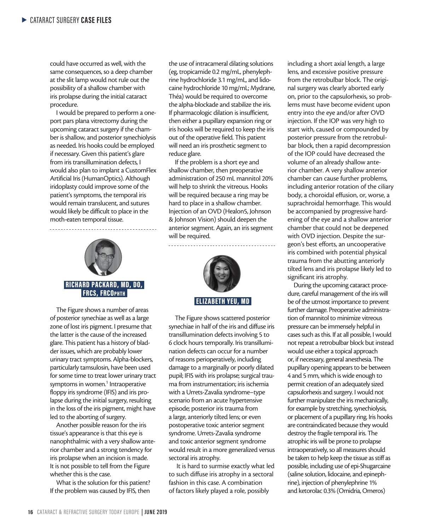could have occurred as well, with the same consequences, so a deep chamber at the slit lamp would not rule out the possibility of a shallow chamber with iris prolapse during the initial cataract procedure.

I would be prepared to perform a oneport pars plana vitrectomy during the upcoming cataract surgery if the chamber is shallow, and posterior synechiolysis as needed. Iris hooks could be employed if necessary. Given this patient's glare from iris transillumination defects, I would also plan to implant a CustomFlex Artificial Iris (HumanOptics). Although iridoplasty could improve some of the patient's symptoms, the temporal iris would remain translucent, and sutures would likely be difficult to place in the moth-eaten temporal tissue.



The Figure shows a number of areas of posterior synechiae as well as a large zone of lost iris pigment. I presume that the latter is the cause of the increased glare. This patient has a history of bladder issues, which are probably lower urinary tract symptoms. Alpha-blockers, particularly tamsulosin, have been used for some time to treat lower urinary tract symptoms in women.<sup>1</sup> Intraoperative floppy iris syndrome (IFIS) and iris prolapse during the initial surgery, resulting in the loss of the iris pigment, might have led to the aborting of surgery.

Another possible reason for the iris tissue's appearance is that this eye is nanophthalmic with a very shallow anterior chamber and a strong tendency for iris prolapse when an incision is made. It is not possible to tell from the Figure whether this is the case.

What is the solution for this patient? If the problem was caused by IFIS, then

the use of intracameral dilating solutions (eg, tropicamide 0.2 mg/mL, phenylephrine hydrochloride 3.1 mg/mL, and lidocaine hydrochloride 10 mg/mL; Mydrane, Théa) would be required to overcome the alpha-blockade and stabilize the iris. If pharmacologic dilation is insufficient, then either a pupillary expansion ring or iris hooks will be required to keep the iris out of the operative field. This patient will need an iris prosthetic segment to reduce glare.

If the problem is a short eye and shallow chamber, then preoperative administration of 250 mL mannitol 20% will help to shrink the vitreous. Hooks will be required because a ring may be hard to place in a shallow chamber. Injection of an OVD (Healon5, Johnson & Johnson Vision) should deepen the anterior segment. Again, an iris segment will be required.



The Figure shows scattered posterior synechiae in half of the iris and diffuse iris transillumination defects involving 5 to 6 clock hours temporally. Iris transillumination defects can occur for a number of reasons perioperatively, including damage to a marginally or poorly dilated pupil; IFIS with iris prolapse; surgical trauma from instrumentation; iris ischemia with a Urrets-Zavalia syndrome–type scenario from an acute hypertensive episode; posterior iris trauma from a large, anteriorly tilted lens; or even postoperative toxic anterior segment syndrome. Urrets-Zavalia syndrome and toxic anterior segment syndrome would result in a more generalized versus sectoral iris atrophy.

 It is hard to surmise exactly what led to such diffuse iris atrophy in a sectoral fashion in this case. A combination of factors likely played a role, possibly

including a short axial length, a large lens, and excessive positive pressure from the retrobulbar block. The original surgery was clearly aborted early on, prior to the capsulorhexis, so problems must have become evident upon entry into the eye and/or after OVD injection. If the IOP was very high to start with, caused or compounded by posterior pressure from the retrobulbar block, then a rapid decompression of the IOP could have decreased the volume of an already shallow anterior chamber. A very shallow anterior chamber can cause further problems, including anterior rotation of the ciliary body, a choroidal effusion, or, worse, a suprachroidal hemorrhage. This would be accompanied by progressive hardening of the eye and a shallow anterior chamber that could not be deepened with OVD injection. Despite the surgeon's best efforts, an uncooperative iris combined with potential physical trauma from the abutting anteriorly tilted lens and iris prolapse likely led to significant iris atrophy.

During the upcoming cataract procedure, careful management of the iris will be of the utmost importance to prevent further damage. Preoperative administration of mannitol to minimize vitreous pressure can be immensely helpful in cases such as this. If at all possible, I would not repeat a retrobulbar block but instead would use either a topical approach or, if necessary, general anesthesia. The pupillary opening appears to be between 4 and 5 mm, which is wide enough to permit creation of an adequately sized capsulorhexis and surgery. I would not further manipulate the iris mechanically, for example by stretching, synechiolysis, or placement of a pupillary ring. Iris hooks are contraindicated because they would destroy the fragile temporal iris. The atrophic iris will be prone to prolapse intraoperatively, so all measures should be taken to help keep the tissue as stiff as possible, including use of epi-Shugarcaine (saline solution, lidocaine, and epinephrine), injection of phenylephrine 1% and ketorolac 0.3% (Omidria, Omeros)